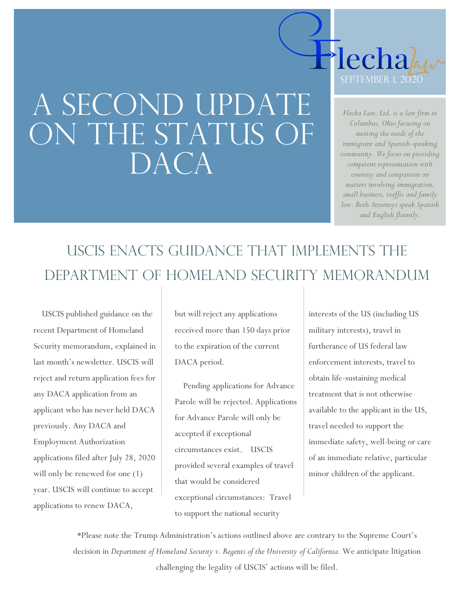# A SECOND UPDATE ON THE STATUS OF DACA



*Flecha Law, Ltd. is a law firm in Columbus, Ohio focusing on meeting the needs of the immigrant and Spanish-speaking community. We focus on providing competent representation with courtesy and compassion on matters involving immigration, small business, traffic and family law. Both Attorneys speak Spanish and English fluently.*

## USCIS enacts guidance that implements the Department of homeland security memorandum

 USCIS published guidance on the recent Department of Homeland Security memorandum, explained in last month's newsletter. USCIS will reject and return application fees for any DACA application from an applicant who has never held DACA previously. Any DACA and Employment Authorization applications filed after July 28, 2020 will only be renewed for one (1) year. USCIS will continue to accept applications to renew DACA,

but will reject any applications received more than 150 days prior to the expiration of the current DACA period.

 Pending applications for Advance Parole will be rejected. Applications for Advance Parole will only be accepted if exceptional circumstances exist. USCIS provided several examples of travel that would be considered exceptional circumstances: Travel to support the national security

interests of the US (including US military interests), travel in furtherance of US federal law enforcement interests, travel to obtain life-sustaining medical treatment that is not otherwise available to the applicant in the US, travel needed to support the immediate safety, well-being or care of an immediate relative, particular minor children of the applicant.

\*Please note the Trump Administration's actions outlined above are contrary to the Supreme Court's decision in *Department of Homeland Security v. Regents of the University of California*. We anticipate litigation challenging the legality of USCIS' actions will be filed.